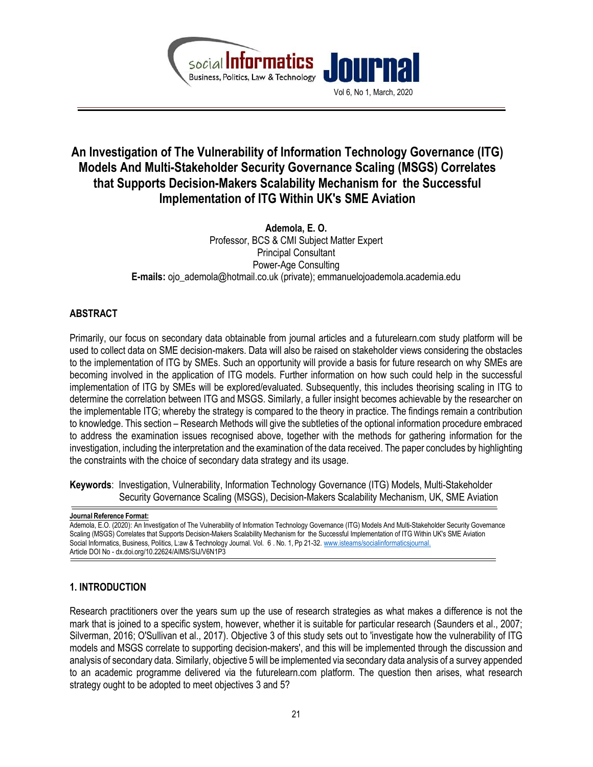

# An Investigation of The Vulnerability of Information Technology Governance (ITG) Models And Multi-Stakeholder Security Governance Scaling (MSGS) Correlates that Supports Decision-Makers Scalability Mechanism for the Successful Implementation of ITG Within UK's SME Aviation

Ademola, E. O. Professor, BCS & CMI Subject Matter Expert Principal Consultant Power-Age Consulting E-mails: ojo\_ademola@hotmail.co.uk (private); emmanuelojoademola.academia.edu

# ABSTRACT

Primarily, our focus on secondary data obtainable from journal articles and a futurelearn.com study platform will be used to collect data on SME decision-makers. Data will also be raised on stakeholder views considering the obstacles to the implementation of ITG by SMEs. Such an opportunity will provide a basis for future research on why SMEs are becoming involved in the application of ITG models. Further information on how such could help in the successful implementation of ITG by SMEs will be explored/evaluated. Subsequently, this includes theorising scaling in ITG to determine the correlation between ITG and MSGS. Similarly, a fuller insight becomes achievable by the researcher on the implementable ITG; whereby the strategy is compared to the theory in practice. The findings remain a contribution to knowledge. This section – Research Methods will give the subtleties of the optional information procedure embraced to address the examination issues recognised above, together with the methods for gathering information for the investigation, including the interpretation and the examination of the data received. The paper concludes by highlighting the constraints with the choice of secondary data strategy and its usage.

Keywords: Investigation, Vulnerability, Information Technology Governance (ITG) Models, Multi-Stakeholder Security Governance Scaling (MSGS), Decision-Makers Scalability Mechanism, UK, SME Aviation

## 1. INTRODUCTION

Research practitioners over the years sum up the use of research strategies as what makes a difference is not the mark that is joined to a specific system, however, whether it is suitable for particular research (Saunders et al., 2007; Silverman, 2016; O'Sullivan et al., 2017). Objective 3 of this study sets out to 'investigate how the vulnerability of ITG models and MSGS correlate to supporting decision-makers', and this will be implemented through the discussion and analysis of secondary data. Similarly, objective 5 will be implemented via secondary data analysis of a survey appended to an academic programme delivered via the futurelearn.com platform. The question then arises, what research strategy ought to be adopted to meet objectives 3 and 5?

Journal Reference Format:

Ademola, E.O. (2020): An Investigation of The Vulnerability of Information Technology Governance (ITG) Models And Multi-Stakeholder Security Governance Scaling (MSGS) Correlates that Supports Decision-Makers Scalability Mechanism for the Successful Implementation of ITG Within UK's SME Aviation Social Informatics, Business, Politics, L:aw & Technology Journal. Vol. 6 . No. 1, Pp 21-32. www.isteams/socialinformaticsjournal. Article DOI No - dx.doi.org/10.22624/AIMS/SIJ/V6N1P3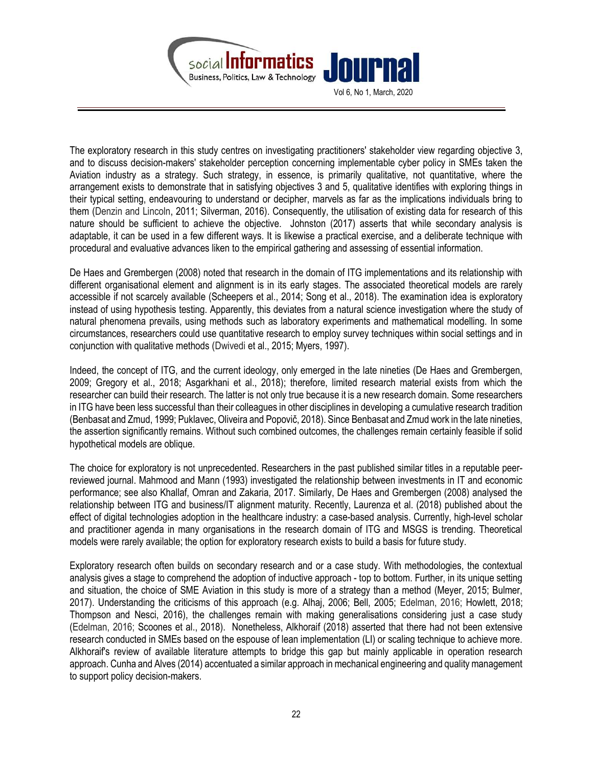

The exploratory research in this study centres on investigating practitioners' stakeholder view regarding objective 3, and to discuss decision-makers' stakeholder perception concerning implementable cyber policy in SMEs taken the Aviation industry as a strategy. Such strategy, in essence, is primarily qualitative, not quantitative, where the arrangement exists to demonstrate that in satisfying objectives 3 and 5, qualitative identifies with exploring things in their typical setting, endeavouring to understand or decipher, marvels as far as the implications individuals bring to them (Denzin and Lincoln, 2011; Silverman, 2016). Consequently, the utilisation of existing data for research of this nature should be sufficient to achieve the objective. Johnston (2017) asserts that while secondary analysis is adaptable, it can be used in a few different ways. It is likewise a practical exercise, and a deliberate technique with procedural and evaluative advances liken to the empirical gathering and assessing of essential information.

De Haes and Grembergen (2008) noted that research in the domain of ITG implementations and its relationship with different organisational element and alignment is in its early stages. The associated theoretical models are rarely accessible if not scarcely available (Scheepers et al., 2014; Song et al., 2018). The examination idea is exploratory instead of using hypothesis testing. Apparently, this deviates from a natural science investigation where the study of natural phenomena prevails, using methods such as laboratory experiments and mathematical modelling. In some circumstances, researchers could use quantitative research to employ survey techniques within social settings and in conjunction with qualitative methods (Dwivedi et al., 2015; Myers, 1997).

Indeed, the concept of ITG, and the current ideology, only emerged in the late nineties (De Haes and Grembergen, 2009; Gregory et al., 2018; Asgarkhani et al., 2018); therefore, limited research material exists from which the researcher can build their research. The latter is not only true because it is a new research domain. Some researchers in ITG have been less successful than their colleagues in other disciplines in developing a cumulative research tradition (Benbasat and Zmud, 1999; Puklavec, Oliveira and Popovič, 2018). Since Benbasat and Zmud work in the late nineties, the assertion significantly remains. Without such combined outcomes, the challenges remain certainly feasible if solid hypothetical models are oblique.

The choice for exploratory is not unprecedented. Researchers in the past published similar titles in a reputable peerreviewed journal. Mahmood and Mann (1993) investigated the relationship between investments in IT and economic performance; see also Khallaf, Omran and Zakaria, 2017. Similarly, De Haes and Grembergen (2008) analysed the relationship between ITG and business/IT alignment maturity. Recently, Laurenza et al. (2018) published about the effect of digital technologies adoption in the healthcare industry: a case-based analysis. Currently, high-level scholar and practitioner agenda in many organisations in the research domain of ITG and MSGS is trending. Theoretical models were rarely available; the option for exploratory research exists to build a basis for future study.

Exploratory research often builds on secondary research and or a case study. With methodologies, the contextual analysis gives a stage to comprehend the adoption of inductive approach - top to bottom. Further, in its unique setting and situation, the choice of SME Aviation in this study is more of a strategy than a method (Meyer, 2015; Bulmer, 2017). Understanding the criticisms of this approach (e.g. Alhaj, 2006; Bell, 2005; Edelman, 2016; Howlett, 2018; Thompson and Nesci, 2016), the challenges remain with making generalisations considering just a case study (Edelman, 2016; Scoones et al., 2018). Nonetheless, Alkhoraif (2018) asserted that there had not been extensive research conducted in SMEs based on the espouse of lean implementation (LI) or scaling technique to achieve more. Alkhoraif's review of available literature attempts to bridge this gap but mainly applicable in operation research approach. Cunha and Alves (2014) accentuated a similar approach in mechanical engineering and quality management to support policy decision-makers.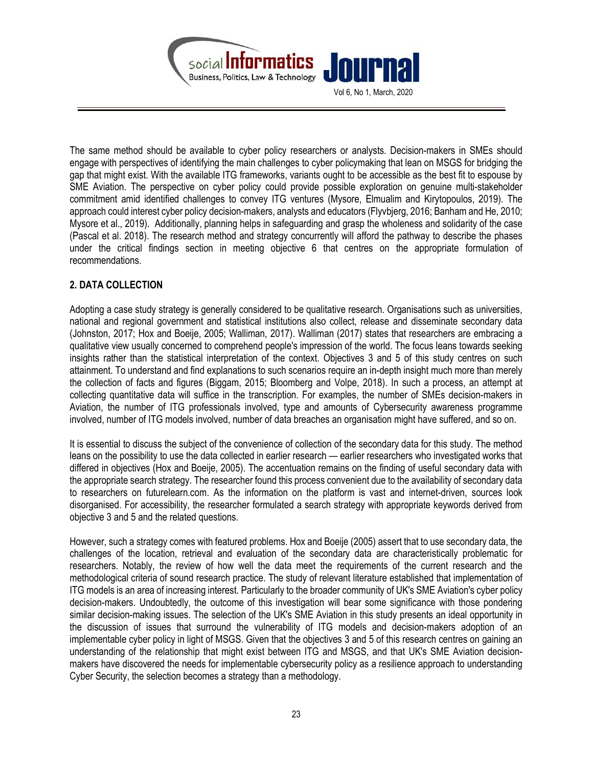

The same method should be available to cyber policy researchers or analysts. Decision-makers in SMEs should engage with perspectives of identifying the main challenges to cyber policymaking that lean on MSGS for bridging the gap that might exist. With the available ITG frameworks, variants ought to be accessible as the best fit to espouse by SME Aviation. The perspective on cyber policy could provide possible exploration on genuine multi-stakeholder commitment amid identified challenges to convey ITG ventures (Mysore, Elmualim and Kirytopoulos, 2019). The approach could interest cyber policy decision-makers, analysts and educators (Flyvbjerg, 2016; Banham and He, 2010; Mysore et al., 2019). Additionally, planning helps in safeguarding and grasp the wholeness and solidarity of the case (Pascal et al. 2018). The research method and strategy concurrently will afford the pathway to describe the phases under the critical findings section in meeting objective 6 that centres on the appropriate formulation of recommendations.

## 2. DATA COLLECTION

Adopting a case study strategy is generally considered to be qualitative research. Organisations such as universities, national and regional government and statistical institutions also collect, release and disseminate secondary data (Johnston, 2017; Hox and Boeije, 2005; Walliman, 2017). Walliman (2017) states that researchers are embracing a qualitative view usually concerned to comprehend people's impression of the world. The focus leans towards seeking insights rather than the statistical interpretation of the context. Objectives 3 and 5 of this study centres on such attainment. To understand and find explanations to such scenarios require an in-depth insight much more than merely the collection of facts and figures (Biggam, 2015; Bloomberg and Volpe, 2018). In such a process, an attempt at collecting quantitative data will suffice in the transcription. For examples, the number of SMEs decision-makers in Aviation, the number of ITG professionals involved, type and amounts of Cybersecurity awareness programme involved, number of ITG models involved, number of data breaches an organisation might have suffered, and so on.

It is essential to discuss the subject of the convenience of collection of the secondary data for this study. The method leans on the possibility to use the data collected in earlier research — earlier researchers who investigated works that differed in objectives (Hox and Boeije, 2005). The accentuation remains on the finding of useful secondary data with the appropriate search strategy. The researcher found this process convenient due to the availability of secondary data to researchers on futurelearn.com. As the information on the platform is vast and internet-driven, sources look disorganised. For accessibility, the researcher formulated a search strategy with appropriate keywords derived from objective 3 and 5 and the related questions.

However, such a strategy comes with featured problems. Hox and Boeije (2005) assert that to use secondary data, the challenges of the location, retrieval and evaluation of the secondary data are characteristically problematic for researchers. Notably, the review of how well the data meet the requirements of the current research and the methodological criteria of sound research practice. The study of relevant literature established that implementation of ITG models is an area of increasing interest. Particularly to the broader community of UK's SME Aviation's cyber policy decision-makers. Undoubtedly, the outcome of this investigation will bear some significance with those pondering similar decision-making issues. The selection of the UK's SME Aviation in this study presents an ideal opportunity in the discussion of issues that surround the vulnerability of ITG models and decision-makers adoption of an implementable cyber policy in light of MSGS. Given that the objectives 3 and 5 of this research centres on gaining an understanding of the relationship that might exist between ITG and MSGS, and that UK's SME Aviation decisionmakers have discovered the needs for implementable cybersecurity policy as a resilience approach to understanding Cyber Security, the selection becomes a strategy than a methodology.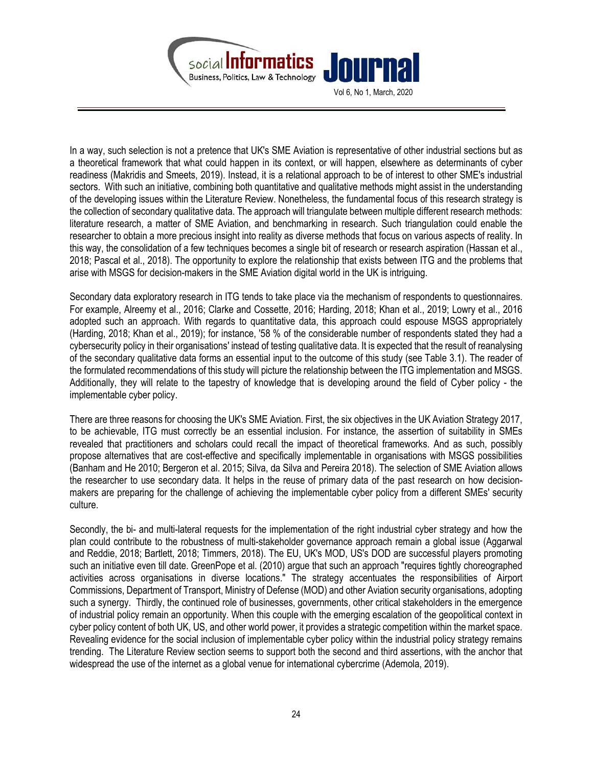

Vol 6, No 1, March, 2020

In a way, such selection is not a pretence that UK's SME Aviation is representative of other industrial sections but as a theoretical framework that what could happen in its context, or will happen, elsewhere as determinants of cyber readiness (Makridis and Smeets, 2019). Instead, it is a relational approach to be of interest to other SME's industrial sectors. With such an initiative, combining both quantitative and qualitative methods might assist in the understanding of the developing issues within the Literature Review. Nonetheless, the fundamental focus of this research strategy is the collection of secondary qualitative data. The approach will triangulate between multiple different research methods: literature research, a matter of SME Aviation, and benchmarking in research. Such triangulation could enable the researcher to obtain a more precious insight into reality as diverse methods that focus on various aspects of reality. In this way, the consolidation of a few techniques becomes a single bit of research or research aspiration (Hassan et al., 2018; Pascal et al., 2018). The opportunity to explore the relationship that exists between ITG and the problems that arise with MSGS for decision-makers in the SME Aviation digital world in the UK is intriguing.

Secondary data exploratory research in ITG tends to take place via the mechanism of respondents to questionnaires. For example, Alreemy et al., 2016; Clarke and Cossette, 2016; Harding, 2018; Khan et al., 2019; Lowry et al., 2016 adopted such an approach. With regards to quantitative data, this approach could espouse MSGS appropriately (Harding, 2018; Khan et al., 2019); for instance, '58 % of the considerable number of respondents stated they had a cybersecurity policy in their organisations' instead of testing qualitative data. It is expected that the result of reanalysing of the secondary qualitative data forms an essential input to the outcome of this study (see Table 3.1). The reader of the formulated recommendations of this study will picture the relationship between the ITG implementation and MSGS. Additionally, they will relate to the tapestry of knowledge that is developing around the field of Cyber policy - the implementable cyber policy.

There are three reasons for choosing the UK's SME Aviation. First, the six objectives in the UK Aviation Strategy 2017, to be achievable, ITG must correctly be an essential inclusion. For instance, the assertion of suitability in SMEs revealed that practitioners and scholars could recall the impact of theoretical frameworks. And as such, possibly propose alternatives that are cost-effective and specifically implementable in organisations with MSGS possibilities (Banham and He 2010; Bergeron et al. 2015; Silva, da Silva and Pereira 2018). The selection of SME Aviation allows the researcher to use secondary data. It helps in the reuse of primary data of the past research on how decisionmakers are preparing for the challenge of achieving the implementable cyber policy from a different SMEs' security culture.

Secondly, the bi- and multi-lateral requests for the implementation of the right industrial cyber strategy and how the plan could contribute to the robustness of multi-stakeholder governance approach remain a global issue (Aggarwal and Reddie, 2018; Bartlett, 2018; Timmers, 2018). The EU, UK's MOD, US's DOD are successful players promoting such an initiative even till date. GreenPope et al. (2010) argue that such an approach "requires tightly choreographed activities across organisations in diverse locations." The strategy accentuates the responsibilities of Airport Commissions, Department of Transport, Ministry of Defense (MOD) and other Aviation security organisations, adopting such a synergy. Thirdly, the continued role of businesses, governments, other critical stakeholders in the emergence of industrial policy remain an opportunity. When this couple with the emerging escalation of the geopolitical context in cyber policy content of both UK, US, and other world power, it provides a strategic competition within the market space. Revealing evidence for the social inclusion of implementable cyber policy within the industrial policy strategy remains trending. The Literature Review section seems to support both the second and third assertions, with the anchor that widespread the use of the internet as a global venue for international cybercrime (Ademola, 2019).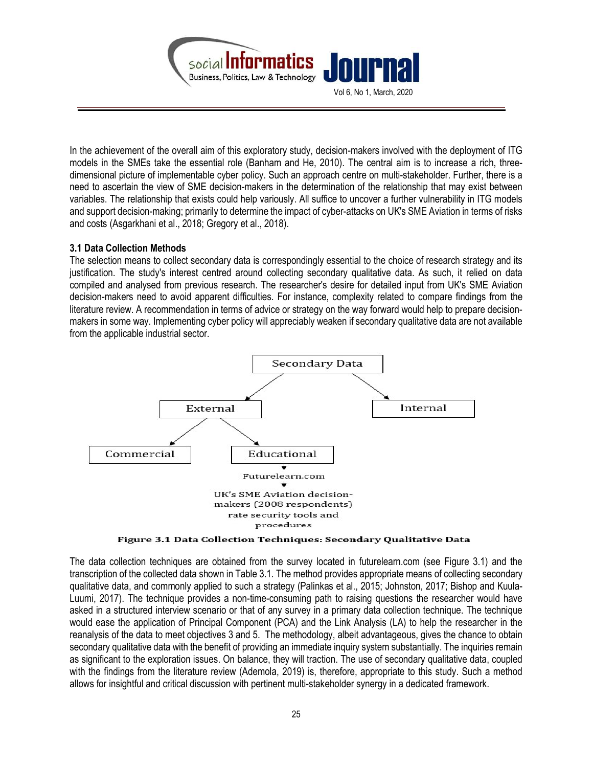

In the achievement of the overall aim of this exploratory study, decision-makers involved with the deployment of ITG models in the SMEs take the essential role (Banham and He, 2010). The central aim is to increase a rich, threedimensional picture of implementable cyber policy. Such an approach centre on multi-stakeholder. Further, there is a need to ascertain the view of SME decision-makers in the determination of the relationship that may exist between variables. The relationship that exists could help variously. All suffice to uncover a further vulnerability in ITG models and support decision-making; primarily to determine the impact of cyber-attacks on UK's SME Aviation in terms of risks and costs (Asgarkhani et al., 2018; Gregory et al., 2018).

## 3.1 Data Collection Methods

The selection means to collect secondary data is correspondingly essential to the choice of research strategy and its justification. The study's interest centred around collecting secondary qualitative data. As such, it relied on data compiled and analysed from previous research. The researcher's desire for detailed input from UK's SME Aviation decision-makers need to avoid apparent difficulties. For instance, complexity related to compare findings from the literature review. A recommendation in terms of advice or strategy on the way forward would help to prepare decisionmakers in some way. Implementing cyber policy will appreciably weaken if secondary qualitative data are not available from the applicable industrial sector.



Figure 3.1 Data Collection Techniques: Secondary Qualitative Data

The data collection techniques are obtained from the survey located in futurelearn.com (see Figure 3.1) and the transcription of the collected data shown in Table 3.1. The method provides appropriate means of collecting secondary qualitative data, and commonly applied to such a strategy (Palinkas et al., 2015; Johnston, 2017; Bishop and Kuula-Luumi, 2017). The technique provides a non-time-consuming path to raising questions the researcher would have asked in a structured interview scenario or that of any survey in a primary data collection technique. The technique would ease the application of Principal Component (PCA) and the Link Analysis (LA) to help the researcher in the reanalysis of the data to meet objectives 3 and 5. The methodology, albeit advantageous, gives the chance to obtain secondary qualitative data with the benefit of providing an immediate inquiry system substantially. The inquiries remain as significant to the exploration issues. On balance, they will traction. The use of secondary qualitative data, coupled with the findings from the literature review (Ademola, 2019) is, therefore, appropriate to this study. Such a method allows for insightful and critical discussion with pertinent multi-stakeholder synergy in a dedicated framework.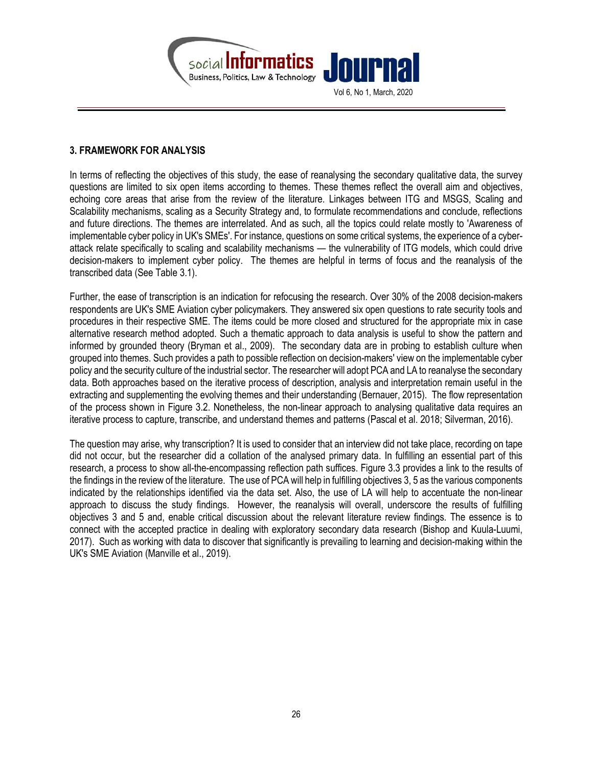

#### 3. FRAMEWORK FOR ANALYSIS

In terms of reflecting the objectives of this study, the ease of reanalysing the secondary qualitative data, the survey questions are limited to six open items according to themes. These themes reflect the overall aim and objectives, echoing core areas that arise from the review of the literature. Linkages between ITG and MSGS, Scaling and Scalability mechanisms, scaling as a Security Strategy and, to formulate recommendations and conclude, reflections and future directions. The themes are interrelated. And as such, all the topics could relate mostly to 'Awareness of implementable cyber policy in UK's SMEs'. For instance, questions on some critical systems, the experience of a cyberattack relate specifically to scaling and scalability mechanisms — the vulnerability of ITG models, which could drive decision-makers to implement cyber policy. The themes are helpful in terms of focus and the reanalysis of the transcribed data (See Table 3.1).

Further, the ease of transcription is an indication for refocusing the research. Over 30% of the 2008 decision-makers respondents are UK's SME Aviation cyber policymakers. They answered six open questions to rate security tools and procedures in their respective SME. The items could be more closed and structured for the appropriate mix in case alternative research method adopted. Such a thematic approach to data analysis is useful to show the pattern and informed by grounded theory (Bryman et al., 2009). The secondary data are in probing to establish culture when grouped into themes. Such provides a path to possible reflection on decision-makers' view on the implementable cyber policy and the security culture of the industrial sector. The researcher will adopt PCA and LA to reanalyse the secondary data. Both approaches based on the iterative process of description, analysis and interpretation remain useful in the extracting and supplementing the evolving themes and their understanding (Bernauer, 2015). The flow representation of the process shown in Figure 3.2. Nonetheless, the non-linear approach to analysing qualitative data requires an iterative process to capture, transcribe, and understand themes and patterns (Pascal et al. 2018; Silverman, 2016).

The question may arise, why transcription? It is used to consider that an interview did not take place, recording on tape did not occur, but the researcher did a collation of the analysed primary data. In fulfilling an essential part of this research, a process to show all-the-encompassing reflection path suffices. Figure 3.3 provides a link to the results of the findings in the review of the literature. The use of PCA will help in fulfilling objectives 3, 5 as the various components indicated by the relationships identified via the data set. Also, the use of LA will help to accentuate the non-linear approach to discuss the study findings. However, the reanalysis will overall, underscore the results of fulfilling objectives 3 and 5 and, enable critical discussion about the relevant literature review findings. The essence is to connect with the accepted practice in dealing with exploratory secondary data research (Bishop and Kuula-Luumi, 2017). Such as working with data to discover that significantly is prevailing to learning and decision-making within the UK's SME Aviation (Manville et al., 2019).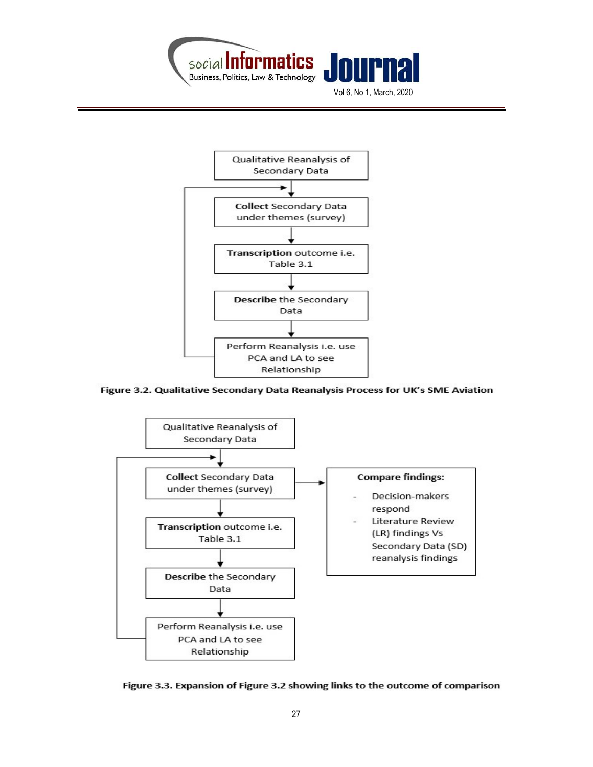

Qualitative Reanalysis of Secondary Data **Collect Secondary Data** under themes (survey) Transcription outcome i.e. Table 3.1 Describe the Secondary Data Perform Reanalysis i.e. use PCA and LA to see Relationship

Figure 3.2. Qualitative Secondary Data Reanalysis Process for UK's SME Aviation



Figure 3.3. Expansion of Figure 3.2 showing links to the outcome of comparison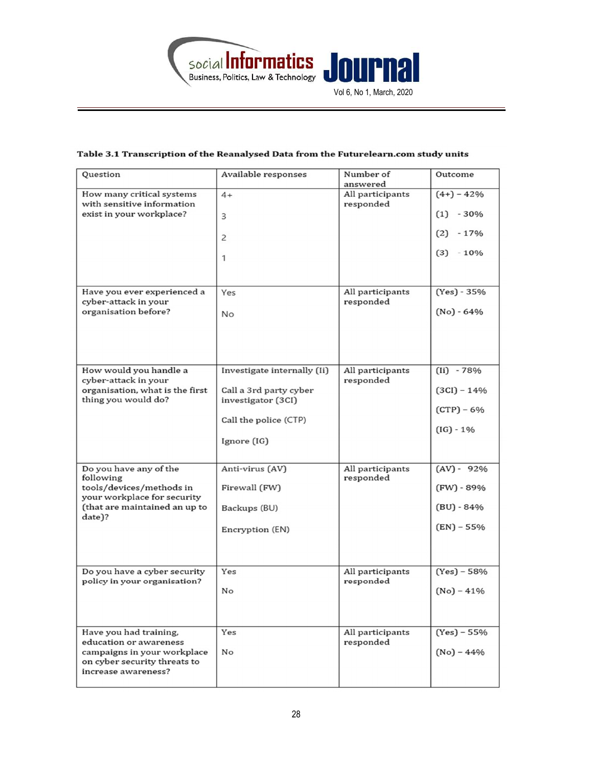

## Table 3.1 Transcription of the Reanalysed Data from the Futurelearn.com study units

| Question                                                                                                                                                           | Available responses                                                                                                 | Number of<br>answered                                          | Outcome                                                                                        |
|--------------------------------------------------------------------------------------------------------------------------------------------------------------------|---------------------------------------------------------------------------------------------------------------------|----------------------------------------------------------------|------------------------------------------------------------------------------------------------|
| How many critical systems<br>with sensitive information<br>exist in your workplace?<br>Have you ever experienced a<br>cyber-attack in your<br>organisation before? | $4+$<br>3<br>2<br>1<br>Yes<br><b>No</b>                                                                             | All participants<br>responded<br>All participants<br>responded | $(4+) - 42%$<br>$(1) - 30\%$<br>(2)<br>$-17%$<br>$(3) - 10\%$<br>$(Yes) - 35%$<br>$(No) - 64%$ |
| How would you handle a<br>cyber-attack in your<br>organisation, what is the first<br>thing you would do?                                                           | Investigate internally (Ii)<br>Call a 3rd party cyber<br>investigator (3CI)<br>Call the police (CTP)<br>Ignore (IG) | All participants<br>responded                                  | $(ii) - 78%$<br>$(3CI) - 14%$<br>$(CTP) - 6%$<br>$(IG) - 1\%$                                  |
| Do you have any of the<br>following<br>tools/devices/methods in<br>your workplace for security<br>(that are maintained an up to<br>date)?                          | Anti-virus (AV)<br>Firewall (FW)<br>Backups (BU)<br>Encryption (EN)                                                 | All participants<br>responded                                  | $(AV) - 92%$<br>$(FW) - 89%$<br>$(BU) - 84%$<br>$(EN) - 55%$                                   |
| Do you have a cyber security<br>policy in your organisation?                                                                                                       | Yes<br>No                                                                                                           | All participants<br>responded                                  | $(Yes) - 58%$<br>$(No) - 41%$                                                                  |
| Have you had training,<br>education or awareness<br>campaigns in your workplace<br>on cyber security threats to<br>increase awareness?                             | Yes<br>No                                                                                                           | All participants<br>responded                                  | $(Yes) - 55%$<br>$(No) - 44%$                                                                  |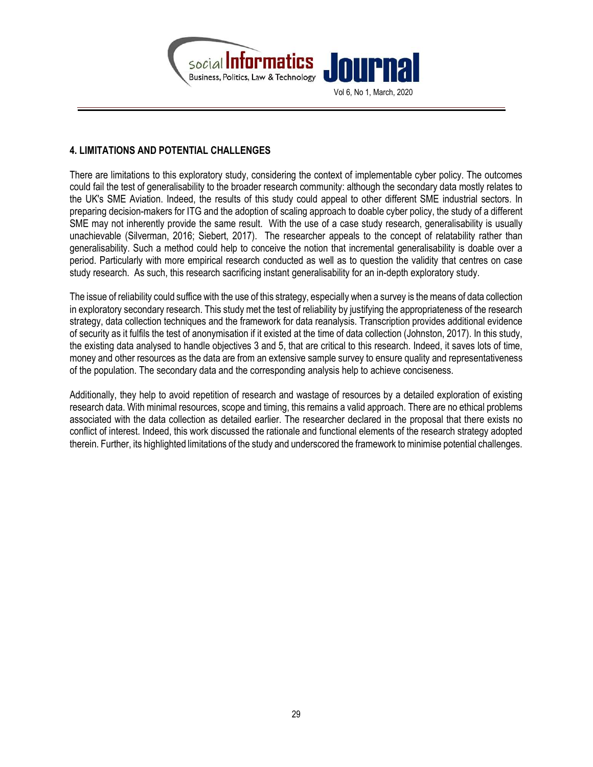

#### 4. LIMITATIONS AND POTENTIAL CHALLENGES

There are limitations to this exploratory study, considering the context of implementable cyber policy. The outcomes could fail the test of generalisability to the broader research community: although the secondary data mostly relates to the UK's SME Aviation. Indeed, the results of this study could appeal to other different SME industrial sectors. In preparing decision-makers for ITG and the adoption of scaling approach to doable cyber policy, the study of a different SME may not inherently provide the same result. With the use of a case study research, generalisability is usually unachievable (Silverman, 2016; Siebert, 2017). The researcher appeals to the concept of relatability rather than generalisability. Such a method could help to conceive the notion that incremental generalisability is doable over a period. Particularly with more empirical research conducted as well as to question the validity that centres on case study research. As such, this research sacrificing instant generalisability for an in-depth exploratory study.

The issue of reliability could suffice with the use of this strategy, especially when a survey is the means of data collection in exploratory secondary research. This study met the test of reliability by justifying the appropriateness of the research strategy, data collection techniques and the framework for data reanalysis. Transcription provides additional evidence of security as it fulfils the test of anonymisation if it existed at the time of data collection (Johnston, 2017). In this study, the existing data analysed to handle objectives 3 and 5, that are critical to this research. Indeed, it saves lots of time, money and other resources as the data are from an extensive sample survey to ensure quality and representativeness of the population. The secondary data and the corresponding analysis help to achieve conciseness.

Additionally, they help to avoid repetition of research and wastage of resources by a detailed exploration of existing research data. With minimal resources, scope and timing, this remains a valid approach. There are no ethical problems associated with the data collection as detailed earlier. The researcher declared in the proposal that there exists no conflict of interest. Indeed, this work discussed the rationale and functional elements of the research strategy adopted therein. Further, its highlighted limitations of the study and underscored the framework to minimise potential challenges.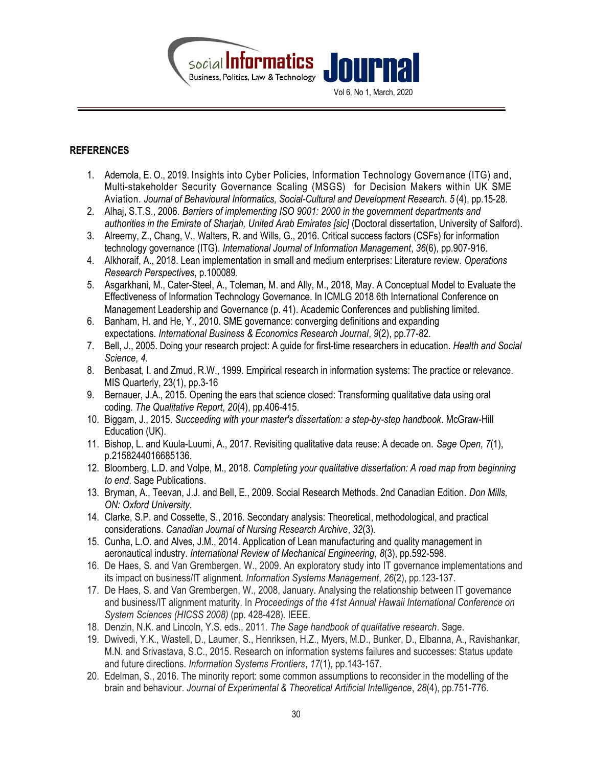

#### **REFERENCES**

- 1. Ademola, E. O., 2019. Insights into Cyber Policies, Information Technology Governance (ITG) and, Multi-stakeholder Security Governance Scaling (MSGS) for Decision Makers within UK SME Aviation. Journal of Behavioural Informatics, Social-Cultural and Development Research. 5 (4), pp.15-28.
- 2. Alhaj, S.T.S., 2006. Barriers of implementing ISO 9001: 2000 in the government departments and authorities in the Emirate of Sharjah, United Arab Emirates [sic] (Doctoral dissertation, University of Salford).
- 3. Alreemy, Z., Chang, V., Walters, R. and Wills, G., 2016. Critical success factors (CSFs) for information technology governance (ITG). International Journal of Information Management, 36(6), pp.907-916.
- 4. Alkhoraif, A., 2018. Lean implementation in small and medium enterprises: Literature review. Operations Research Perspectives, p.100089.
- 5. Asgarkhani, M., Cater-Steel, A., Toleman, M. and Ally, M., 2018, May. A Conceptual Model to Evaluate the Effectiveness of Information Technology Governance. In ICMLG 2018 6th International Conference on Management Leadership and Governance (p. 41). Academic Conferences and publishing limited.
- 6. Banham, H. and He, Y., 2010. SME governance: converging definitions and expanding expectations. International Business & Economics Research Journal, 9(2), pp.77-82.
- 7. Bell, J., 2005. Doing your research project: A guide for first-time researchers in education. Health and Social Science, 4.
- 8. Benbasat, I. and Zmud, R.W., 1999. Empirical research in information systems: The practice or relevance. MIS Quarterly, 23(1), pp.3-16
- 9. Bernauer, J.A., 2015. Opening the ears that science closed: Transforming qualitative data using oral coding. The Qualitative Report, 20(4), pp.406-415.
- 10. Biggam, J., 2015. Succeeding with your master's dissertation: a step-by-step handbook. McGraw-Hill Education (UK).
- 11. Bishop, L. and Kuula-Luumi, A., 2017. Revisiting qualitative data reuse: A decade on. Sage Open, 7(1), p.2158244016685136.
- 12. Bloomberg, L.D. and Volpe, M., 2018. Completing your qualitative dissertation: A road map from beginning to end. Sage Publications.
- 13. Bryman, A., Teevan, J.J. and Bell, E., 2009. Social Research Methods. 2nd Canadian Edition. Don Mills, ON: Oxford University.
- 14. Clarke, S.P. and Cossette, S., 2016. Secondary analysis: Theoretical, methodological, and practical considerations. Canadian Journal of Nursing Research Archive, 32(3).
- 15. Cunha, L.O. and Alves, J.M., 2014. Application of Lean manufacturing and quality management in aeronautical industry. International Review of Mechanical Engineering, 8(3), pp.592-598.
- 16. De Haes, S. and Van Grembergen, W., 2009. An exploratory study into IT governance implementations and its impact on business/IT alignment. Information Systems Management, 26(2), pp.123-137.
- 17. De Haes, S. and Van Grembergen, W., 2008, January. Analysing the relationship between IT governance and business/IT alignment maturity. In Proceedings of the 41st Annual Hawaii International Conference on System Sciences (HICSS 2008) (pp. 428-428). IEEE.
- 18. Denzin, N.K. and Lincoln, Y.S. eds., 2011. The Sage handbook of qualitative research. Sage.
- 19. Dwivedi, Y.K., Wastell, D., Laumer, S., Henriksen, H.Z., Myers, M.D., Bunker, D., Elbanna, A., Ravishankar, M.N. and Srivastava, S.C., 2015. Research on information systems failures and successes: Status update and future directions. Information Systems Frontiers, 17(1), pp.143-157.
- 20. Edelman, S., 2016. The minority report: some common assumptions to reconsider in the modelling of the brain and behaviour. Journal of Experimental & Theoretical Artificial Intelligence, 28(4), pp.751-776.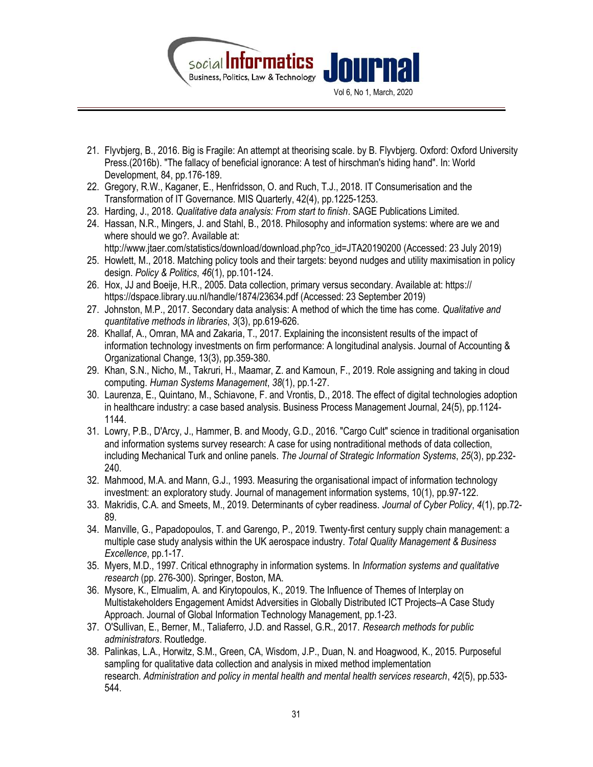

- 21. Flyvbjerg, B., 2016. Big is Fragile: An attempt at theorising scale. by B. Flyvbjerg. Oxford: Oxford University Press.(2016b). "The fallacy of beneficial ignorance: A test of hirschman's hiding hand". In: World Development, 84, pp.176-189.
- 22. Gregory, R.W., Kaganer, E., Henfridsson, O. and Ruch, T.J., 2018. IT Consumerisation and the Transformation of IT Governance. MIS Quarterly, 42(4), pp.1225-1253.
- 23. Harding, J., 2018. Qualitative data analysis: From start to finish. SAGE Publications Limited.
- 24. Hassan, N.R., Mingers, J. and Stahl, B., 2018. Philosophy and information systems: where are we and where should we go?. Available at: http://www.jtaer.com/statistics/download/download.php?co\_id=JTA20190200 (Accessed: 23 July 2019)
- 25. Howlett, M., 2018. Matching policy tools and their targets: beyond nudges and utility maximisation in policy design. Policy & Politics, 46(1), pp.101-124.
- 26. Hox, JJ and Boeije, H.R., 2005. Data collection, primary versus secondary. Available at: https:// https://dspace.library.uu.nl/handle/1874/23634.pdf (Accessed: 23 September 2019)
- 27. Johnston, M.P., 2017. Secondary data analysis: A method of which the time has come. Qualitative and quantitative methods in libraries, 3(3), pp.619-626.
- 28. Khallaf, A., Omran, MA and Zakaria, T., 2017. Explaining the inconsistent results of the impact of information technology investments on firm performance: A longitudinal analysis. Journal of Accounting & Organizational Change, 13(3), pp.359-380.
- 29. Khan, S.N., Nicho, M., Takruri, H., Maamar, Z. and Kamoun, F., 2019. Role assigning and taking in cloud computing. Human Systems Management, 38(1), pp.1-27.
- 30. Laurenza, E., Quintano, M., Schiavone, F. and Vrontis, D., 2018. The effect of digital technologies adoption in healthcare industry: a case based analysis. Business Process Management Journal, 24(5), pp.1124- 1144.
- 31. Lowry, P.B., D'Arcy, J., Hammer, B. and Moody, G.D., 2016. "Cargo Cult" science in traditional organisation and information systems survey research: A case for using nontraditional methods of data collection, including Mechanical Turk and online panels. The Journal of Strategic Information Systems, 25(3), pp.232- 240.
- 32. Mahmood, M.A. and Mann, G.J., 1993. Measuring the organisational impact of information technology investment: an exploratory study. Journal of management information systems, 10(1), pp.97-122.
- 33. Makridis, C.A. and Smeets, M., 2019. Determinants of cyber readiness. Journal of Cyber Policy, 4(1), pp.72-89.
- 34. Manville, G., Papadopoulos, T. and Garengo, P., 2019. Twenty-first century supply chain management: a multiple case study analysis within the UK aerospace industry. Total Quality Management & Business Excellence, pp.1-17.
- 35. Myers, M.D., 1997. Critical ethnography in information systems. In *Information systems and qualitative* research (pp. 276-300). Springer, Boston, MA.
- 36. Mysore, K., Elmualim, A. and Kirytopoulos, K., 2019. The Influence of Themes of Interplay on Multistakeholders Engagement Amidst Adversities in Globally Distributed ICT Projects–A Case Study Approach. Journal of Global Information Technology Management, pp.1-23.
- 37. O'Sullivan, E., Berner, M., Taliaferro, J.D. and Rassel, G.R., 2017. Research methods for public administrators. Routledge.
- 38. Palinkas, L.A., Horwitz, S.M., Green, CA, Wisdom, J.P., Duan, N. and Hoagwood, K., 2015. Purposeful sampling for qualitative data collection and analysis in mixed method implementation research. Administration and policy in mental health and mental health services research, 42(5), pp.533- 544.